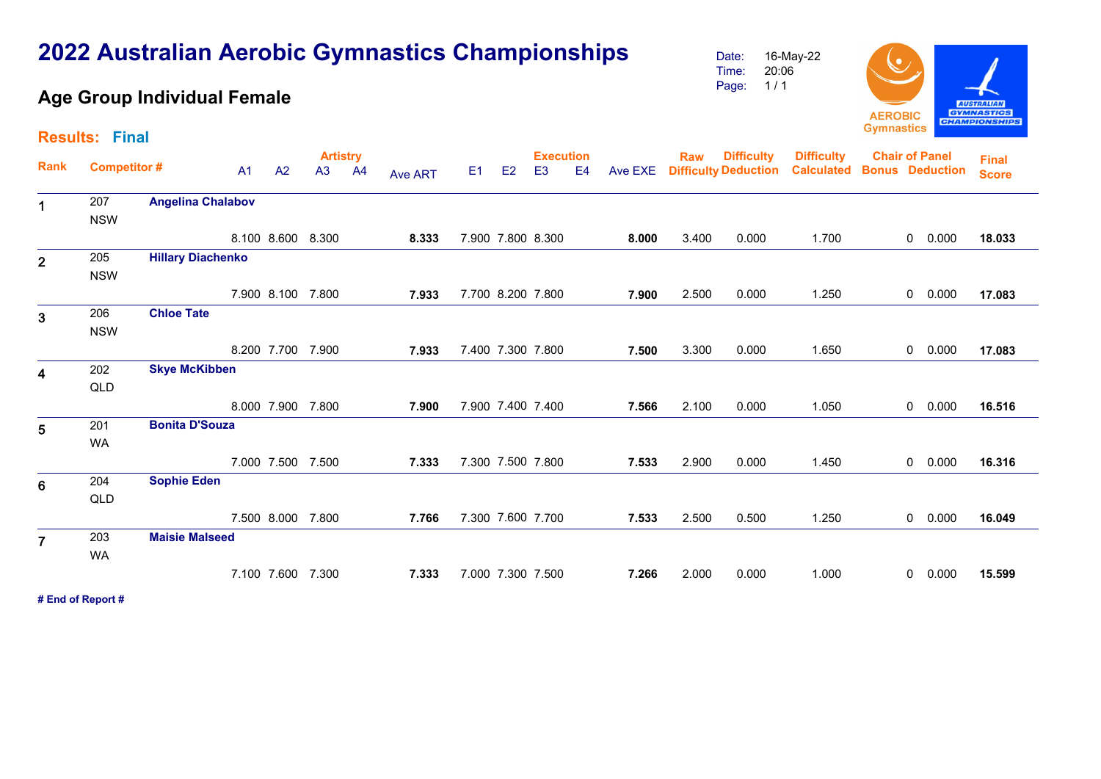## $1/1$ Page: **Age Group Individual Female AUSTRALIAN GYMNASTICS AEROBIC CHAMPIONSHIPS Gymnastics Results: FinalDifficulty Artistry Execution Rank Raw Difficulty Chair of Panel Bonus Deduction** E1 E2 E3 E4 Ave EXE **Deduction Difficulty Competitor # CalculatedFinal**  A1 A2 A3 A4**Calculated Bonus Deduction**  Ave ART**Score Angelina Chalabov** <sup>1</sup>207NSW 7.900 7.800 8.300 **8.000** 3.400 0.000 0 1.700 0.000 **18.033** 8.100 8.600 8.300 **8.333**205 **Hillary Diachenko** 2NSW7.900 8.100 7.800 **7.933** 7.700 8.200 7.800 **7.900** 2.500 0.000 0 1.250 0.000 **17.083** 206**Chloe Tate**  $\overline{3}$ **NSW**  7.400 7.300 7.800 **7.500** 3.300 0.000 0 1.650 0.000 **17.083** 8.200 7.700 7.900 **7.933 Skye McKibben** <sup>4</sup>202QLD 7.900 7.400 7.400 **7.566** 2.100 0.000 0 1.050 0.000 **16.516** 8.000 7.900 7.800 **7.900 Bonita D'Souza** <sup>5</sup>201WA 7.300 7.500 7.800 **7.533** 2.900 0.000 0 1.450 0.000 **16.316** 7.000 7.500 7.500 **7.333**204**Sophie Eden**  $6\phantom{1}6$ QLD 7.300 7.600 7.700 **7.533** 2.500 0.500 0 1.250 0.000 **16.049** 7.500 8.000 7.800 **7.766 Maisie Malseed** <sup>7</sup>203WA 7.000 7.300 7.500 **7.266** 2.000 0.000 0 1.000 0.000 **15.599** 7.100 7.600 7.300 **7.333# End of Report #**

## **2022 Australian Aerobic Gymnastics Championships**

Date:Time: 16-May-2220:06